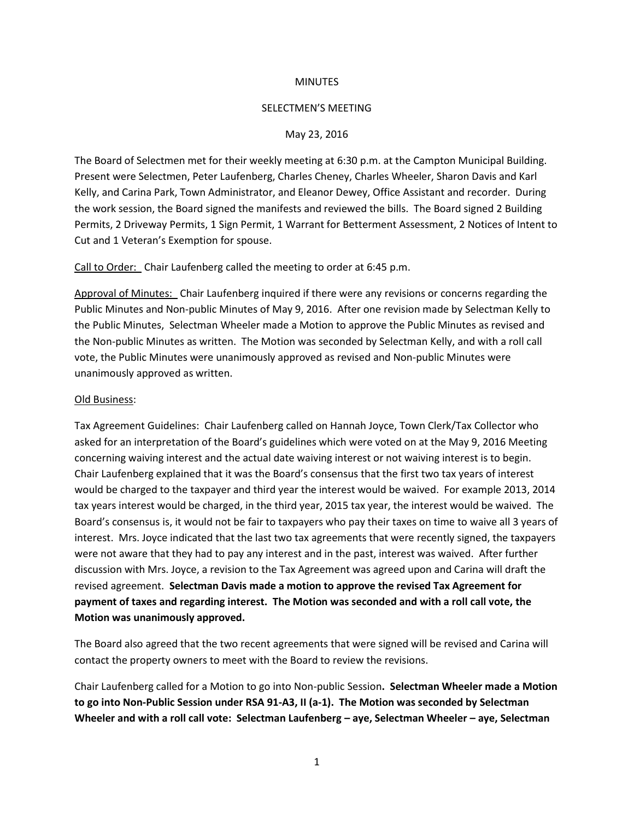## **MINUTES**

### SELECTMEN'S MEETING

## May 23, 2016

The Board of Selectmen met for their weekly meeting at 6:30 p.m. at the Campton Municipal Building. Present were Selectmen, Peter Laufenberg, Charles Cheney, Charles Wheeler, Sharon Davis and Karl Kelly, and Carina Park, Town Administrator, and Eleanor Dewey, Office Assistant and recorder. During the work session, the Board signed the manifests and reviewed the bills. The Board signed 2 Building Permits, 2 Driveway Permits, 1 Sign Permit, 1 Warrant for Betterment Assessment, 2 Notices of Intent to Cut and 1 Veteran's Exemption for spouse.

Call to Order: Chair Laufenberg called the meeting to order at 6:45 p.m.

Approval of Minutes: Chair Laufenberg inquired if there were any revisions or concerns regarding the Public Minutes and Non-public Minutes of May 9, 2016. After one revision made by Selectman Kelly to the Public Minutes, Selectman Wheeler made a Motion to approve the Public Minutes as revised and the Non-public Minutes as written. The Motion was seconded by Selectman Kelly, and with a roll call vote, the Public Minutes were unanimously approved as revised and Non-public Minutes were unanimously approved as written.

#### Old Business:

Tax Agreement Guidelines: Chair Laufenberg called on Hannah Joyce, Town Clerk/Tax Collector who asked for an interpretation of the Board's guidelines which were voted on at the May 9, 2016 Meeting concerning waiving interest and the actual date waiving interest or not waiving interest is to begin. Chair Laufenberg explained that it was the Board's consensus that the first two tax years of interest would be charged to the taxpayer and third year the interest would be waived. For example 2013, 2014 tax years interest would be charged, in the third year, 2015 tax year, the interest would be waived. The Board's consensus is, it would not be fair to taxpayers who pay their taxes on time to waive all 3 years of interest. Mrs. Joyce indicated that the last two tax agreements that were recently signed, the taxpayers were not aware that they had to pay any interest and in the past, interest was waived. After further discussion with Mrs. Joyce, a revision to the Tax Agreement was agreed upon and Carina will draft the revised agreement. **Selectman Davis made a motion to approve the revised Tax Agreement for payment of taxes and regarding interest. The Motion was seconded and with a roll call vote, the Motion was unanimously approved.** 

The Board also agreed that the two recent agreements that were signed will be revised and Carina will contact the property owners to meet with the Board to review the revisions.

Chair Laufenberg called for a Motion to go into Non-public Session**. Selectman Wheeler made a Motion to go into Non-Public Session under RSA 91-A3, II (a-1). The Motion was seconded by Selectman Wheeler and with a roll call vote: Selectman Laufenberg – aye, Selectman Wheeler – aye, Selectman**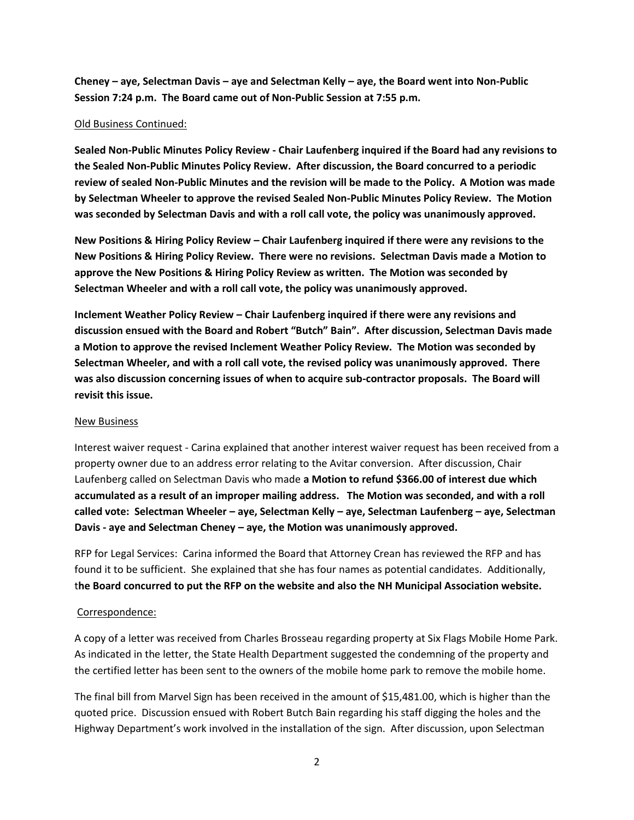**Cheney – aye, Selectman Davis – aye and Selectman Kelly – aye, the Board went into Non-Public Session 7:24 p.m. The Board came out of Non-Public Session at 7:55 p.m.** 

# Old Business Continued:

**Sealed Non-Public Minutes Policy Review - Chair Laufenberg inquired if the Board had any revisions to the Sealed Non-Public Minutes Policy Review. After discussion, the Board concurred to a periodic review of sealed Non-Public Minutes and the revision will be made to the Policy. A Motion was made by Selectman Wheeler to approve the revised Sealed Non-Public Minutes Policy Review. The Motion was seconded by Selectman Davis and with a roll call vote, the policy was unanimously approved.**

**New Positions & Hiring Policy Review – Chair Laufenberg inquired if there were any revisions to the New Positions & Hiring Policy Review. There were no revisions. Selectman Davis made a Motion to approve the New Positions & Hiring Policy Review as written. The Motion was seconded by Selectman Wheeler and with a roll call vote, the policy was unanimously approved.**

**Inclement Weather Policy Review – Chair Laufenberg inquired if there were any revisions and discussion ensued with the Board and Robert "Butch" Bain". After discussion, Selectman Davis made a Motion to approve the revised Inclement Weather Policy Review. The Motion was seconded by Selectman Wheeler, and with a roll call vote, the revised policy was unanimously approved. There was also discussion concerning issues of when to acquire sub-contractor proposals. The Board will revisit this issue.**

## New Business

Interest waiver request - Carina explained that another interest waiver request has been received from a property owner due to an address error relating to the Avitar conversion. After discussion, Chair Laufenberg called on Selectman Davis who made **a Motion to refund \$366.00 of interest due which accumulated as a result of an improper mailing address. The Motion was seconded, and with a roll called vote: Selectman Wheeler – aye, Selectman Kelly – aye, Selectman Laufenberg – aye, Selectman Davis - aye and Selectman Cheney – aye, the Motion was unanimously approved.**

RFP for Legal Services: Carina informed the Board that Attorney Crean has reviewed the RFP and has found it to be sufficient. She explained that she has four names as potential candidates. Additionally, t**he Board concurred to put the RFP on the website and also the NH Municipal Association website.**

# Correspondence:

A copy of a letter was received from Charles Brosseau regarding property at Six Flags Mobile Home Park. As indicated in the letter, the State Health Department suggested the condemning of the property and the certified letter has been sent to the owners of the mobile home park to remove the mobile home.

The final bill from Marvel Sign has been received in the amount of \$15,481.00, which is higher than the quoted price. Discussion ensued with Robert Butch Bain regarding his staff digging the holes and the Highway Department's work involved in the installation of the sign. After discussion, upon Selectman